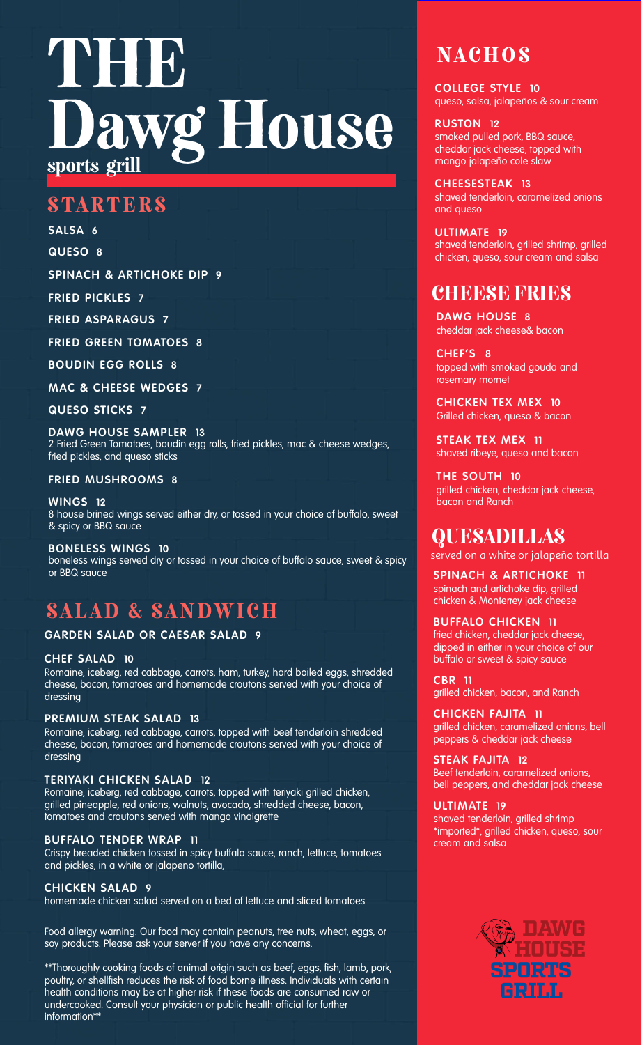# TNHH.  $Wg$  House sports grill

## **STARTERS**

**SALSA 6**

**QUESO 8**

**SPINACH & ARTICHOKE DIP 9**

**FRIED PICKLES 7**

**FRIED ASPARAGUS 7**

**FRIED GREEN TOMATOES 8**

**BOUDIN EGG ROLLS 8**

**MAC & CHEESE WEDGES 7**

**QUESO STICKS 7**

**DAWG HOUSE SAMPLER 13** 2 Fried Green Tomatoes, boudin egg rolls, fried pickles, mac & cheese wedges, fried pickles, and queso sticks

#### **FRIED MUSHROOMS 8**

**WINGS 12** 8 house brined wings served either dry, or tossed in your choice of buffalo, sweet & spicy or BBQ sauce

**BONELESS WINGS 10** boneless wings served dry or tossed in your choice of buffalo sauce, sweet & spicy or BBQ sauce

# SALAD & SANDWICH

#### **GARDEN SALAD OR CAESAR SALAD 9**

**CHEF SALAD 10**

Romaine, iceberg, red cabbage, carrots, ham, turkey, hard boiled eggs, shredded cheese, bacon, tomatoes and homemade croutons served with your choice of dressing

#### **PREMIUM STEAK SALAD 13**

Romaine, iceberg, red cabbage, carrots, topped with beef tenderloin shredded cheese, bacon, tomatoes and homemade croutons served with your choice of dressing

#### **TERIYAKI CHICKEN SALAD 12**

Romaine, iceberg, red cabbage, carrots, topped with teriyaki grilled chicken, grilled pineapple, red onions, walnuts, avocado, shredded cheese, bacon, tomatoes and croutons served with mango vinaigrette

#### **BUFFALO TENDER WRAP 11**

Crispy breaded chicken tossed in spicy buffalo sauce, ranch, lettuce, tomatoes and pickles, in a white or jalapeno tortilla,

#### **CHICKEN SALAD 9**

homemade chicken salad served on a bed of lettuce and sliced tomatoes

Food allergy warning: Our food may contain peanuts, tree nuts, wheat, eggs, or soy products. Please ask your server if you have any concerns.

\*\*Thoroughly cooking foods of animal origin such as beef, eggs, fish, lamb, pork, poultry, or shellfish reduces the risk of food borne illness. Individuals with certain health conditions may be at higher risk if these foods are consumed raw or undercooked. Consult your physician or public health official for further information\*\*

# **NACHOS**

**COLLEGE STYLE 10** queso, salsa, jalapeños & sour cream

#### **RUSTON 12**

smoked pulled pork, BBQ sauce, cheddar jack cheese, topped with mango jalapeño cole slaw

**CHEESESTEAK 13** shaved tenderloin, caramelized onions and queso

**ULTIMATE 19** shaved tenderloin, grilled shrimp, grilled chicken, queso, sour cream and salsa

## **CHEESE FRIES**

**DAWG HOUSE 8** cheddar jack cheese& bacon

**CHEF'S 8** topped with smoked gouda and rosemary mornet

**CHICKEN TEX MEX 10** Grilled chicken, queso & bacon

**STEAK TEX MEX 11** shaved ribeye, queso and bacon

**THE SOUTH 10** grilled chicken, cheddar jack cheese, bacon and Ranch

## QUESADILLAS

served on a white or jalapeño tortilla

**SPINACH & ARTICHOKE 11** spinach and artichoke dip, grilled chicken & Monterrey jack cheese

**BUFFALO CHICKEN 11** fried chicken, cheddar jack cheese, dipped in either in your choice of our buffalo or sweet & spicy sauce

**CBR 11** grilled chicken, bacon, and Ranch

**CHICKEN FAJITA 11** grilled chicken, caramelized onions, bell peppers & cheddar jack cheese

**STEAK FAJITA 12**

Beef tenderloin, caramelized onions, bell peppers, and cheddar jack cheese

#### **ULTIMATE 19**

shaved tenderloin, grilled shrimp \*imported\*, grilled chicken, queso, sour cream and salsa